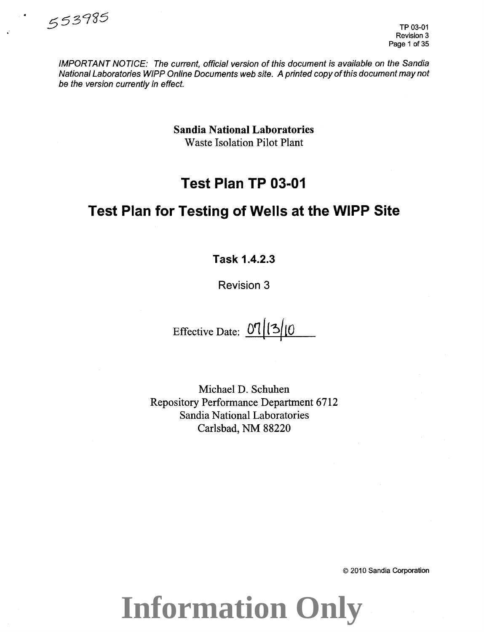

IMPORTANT NOTICE: The current, official version of this document is available on the Sandia National Laboratories WIPP Online Documents web site. A printed copy of this document may not be the version currently in effect.

> Sandia National Laboratories Waste Isolation Pilot Plant

# **Test Plan TP 03-01**

# **Test Plan for Testing of Wells at the WIPP Site**

**Task 1.4.2.3** 

Revision 3

Effective Date: 07 (3/10

Michael D. Schuhen Repository Performance Department 6712 Sandia National Laboratories Carlsbad, NM 88220

© 2010 Sandia Corporation

**Information Only**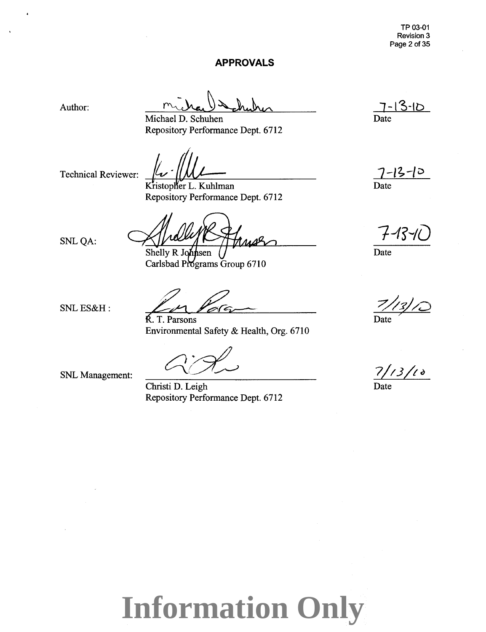#### **APPROVALS**

Author:

Michael D. Schuhen Repository Performance Dept. 6712

Technical Reviewer:

Kristopher L. Kuhlman Repository Performance Dept. 6712

Shelly R Johnsen

Carlsbad Programs Group 6710

SNLQA:

SNLES&H:

R. T. Parsons Environmental Safety & Health, Org. 6710

SNL Management:

Christi D. Leigh Repository Performance Dept. 6712

 $7 - 13 - 10$ Date

 $7 - 12 - 10$ Date

 $7$ -13-1(

Date

7*(3)* 

Date

 $7/13/18$ 

 $\overline{\text{Date}}$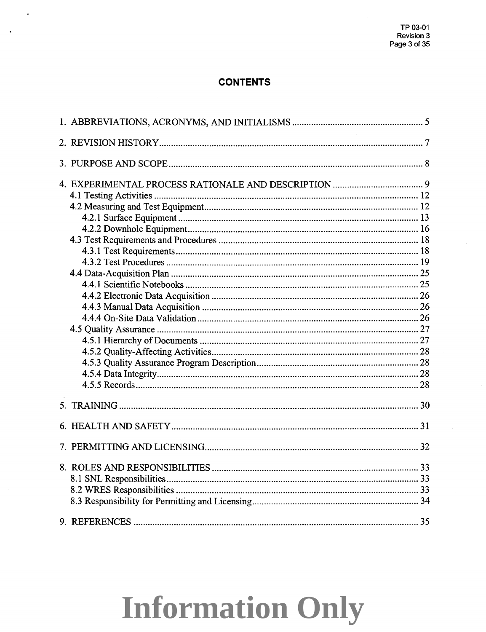## **CONTENTS**

 $\ddot{\phantom{a}}$ 

 $\ddot{\phantom{a}}$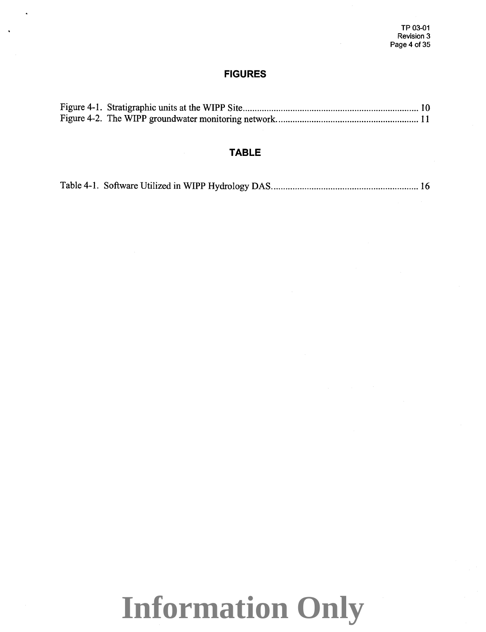### **FIGURES**

## **TABLE**

|--|--|--|--|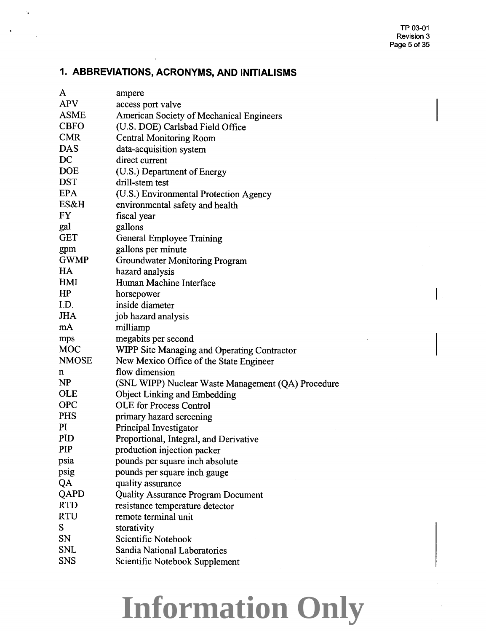# **1. ABBREVIATIONS, ACRONYMS, AND INITIALISMS**

| A            | ampere                                             |
|--------------|----------------------------------------------------|
| <b>APV</b>   | access port valve                                  |
| <b>ASME</b>  | American Society of Mechanical Engineers           |
| <b>CBFO</b>  | (U.S. DOE) Carlsbad Field Office                   |
| <b>CMR</b>   | <b>Central Monitoring Room</b>                     |
| <b>DAS</b>   | data-acquisition system                            |
| DC           | direct current                                     |
| <b>DOE</b>   | (U.S.) Department of Energy                        |
| <b>DST</b>   | drill-stem test                                    |
| <b>EPA</b>   | (U.S.) Environmental Protection Agency             |
| ES&H         | environmental safety and health                    |
| FY           | fiscal year                                        |
| gal          | gallons                                            |
| GET          | General Employee Training                          |
| gpm          | gallons per minute                                 |
| <b>GWMP</b>  | <b>Groundwater Monitoring Program</b>              |
| HA           | hazard analysis                                    |
| HMI          | Human Machine Interface                            |
| HP           | horsepower                                         |
| I.D.         | inside diameter                                    |
| <b>JHA</b>   | job hazard analysis                                |
| mA           | milliamp                                           |
| mps          | megabits per second                                |
| <b>MOC</b>   | <b>WIPP Site Managing and Operating Contractor</b> |
| <b>NMOSE</b> | New Mexico Office of the State Engineer            |
| n            | flow dimension                                     |
| NP           | (SNL WIPP) Nuclear Waste Management (QA) Procedure |
| <b>OLE</b>   | <b>Object Linking and Embedding</b>                |
| <b>OPC</b>   | <b>OLE</b> for Process Control                     |
| <b>PHS</b>   | primary hazard screening                           |
| PI           | Principal Investigator                             |
| <b>PID</b>   | Proportional, Integral, and Derivative             |
| PIP          | production injection packer                        |
| psia         | pounds per square inch absolute                    |
| psig         | pounds per square inch gauge                       |
| QA           | quality assurance                                  |
| QAPD         | <b>Quality Assurance Program Document</b>          |
| <b>RTD</b>   | resistance temperature detector                    |
| RTU          | remote terminal unit                               |
| S            | storativity                                        |
| SN           | Scientific Notebook                                |
| SNL          | Sandia National Laboratories                       |
| <b>SNS</b>   | Scientific Notebook Supplement                     |
|              |                                                    |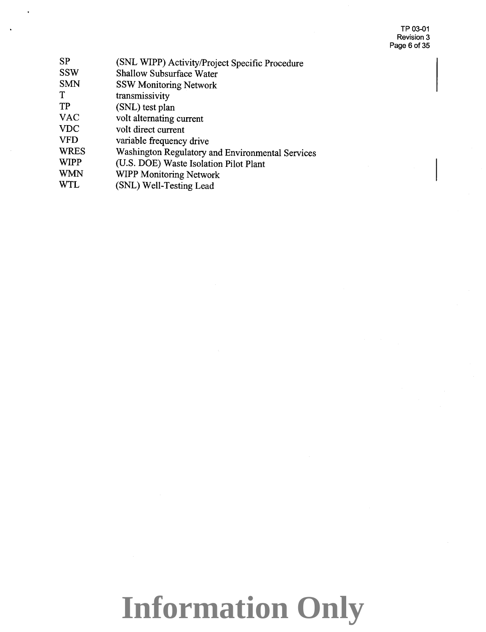TP 03-01 Revision 3 Page 6 of 35

| <b>SP</b>   | (SNL WIPP) Activity/Project Specific Procedure   |
|-------------|--------------------------------------------------|
| <b>SSW</b>  | <b>Shallow Subsurface Water</b>                  |
| <b>SMN</b>  | <b>SSW Monitoring Network</b>                    |
| T           | transmissivity                                   |
| <b>TP</b>   | (SNL) test plan                                  |
| <b>VAC</b>  | volt alternating current                         |
| <b>VDC</b>  | volt direct current                              |
| <b>VFD</b>  | variable frequency drive                         |
| <b>WRES</b> | Washington Regulatory and Environmental Services |
| <b>WIPP</b> | (U.S. DOE) Waste Isolation Pilot Plant           |
| <b>WMN</b>  | <b>WIPP Monitoring Network</b>                   |
| <b>WTL</b>  | (SNL) Well-Testing Lead                          |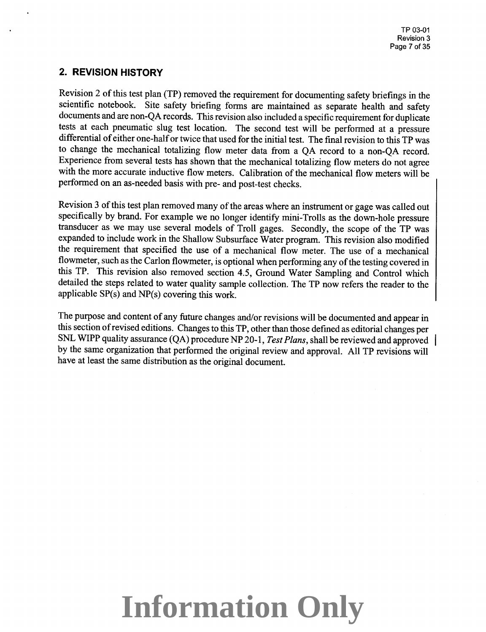## **2. REVISION HISTORY**

Revision 2 of this test plan (TP) removed the requirement for documenting safety briefings in the scientific notebook. Site safety briefing forms are maintained as separate health and safety documents and are non-QA records. This revision also included a specific requirement for duplicate tests at each pneumatic slug test location. The second test will be performed at a pressure differential of either one-half or twice that used for the initial test. The final revision to this TP was to change the mechanical totalizing flow meter data from a QA record to a non-QA record. Experience from several tests has shown that the mechanical totalizing flow meters do not agree with the more accurate inductive flow meters. Calibration of the mechanical flow meters will be performed on an as-needed basis with pre- and post-test checks.

Revision 3 of this test plan removed many of the areas where an instrument or gage was called out specifically by brand. For example we no longer identify mini-Trolls as the down-hole pressure transducer as we may use several models of Troll gages. Secondly, the scope of the TP was expanded to include work in the Shallow Subsurface Water program. This revision also modified the requirement that specified the use of a mechanical flow meter. The use of a mechanical flowmeter, such as the Carlon flowmeter, is optional when performing any of the testing covered in this TP. This revision also removed section 4.5, Ground Water Sampling and Control which detailed the steps related to water quality sample collection. The TP now refers the reader to the applicable SP(s) and NP(s) covering this work.

The purpose and content of any future changes and/or revisions will be documented and appear in this section of revised editions. Changes to this TP, other than those defmed as editorial changes per SNL WIPP quality assurance (QA) procedure NP 20-1, *Test Plans,* shall be reviewed and approved by the same organization that performed the original review and approval. All TP revisions will have at least the same distribution as the original document.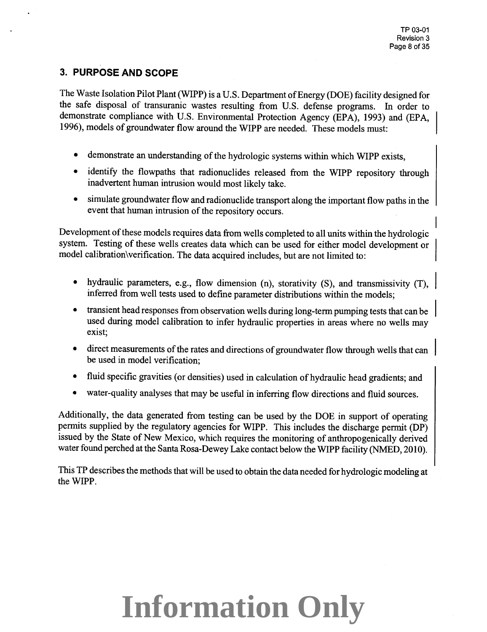## **3. PURPOSE AND SCOPE**

The Waste Isolation Pilot Plant (WIPP) is a U.S. Department of Energy (DOE) facility designed for the safe disposal of transuranic wastes resulting from U.S. defense programs. In order to demonstrate compliance with U.S. Environmental Protection Agency (EPA), 1993) and (EPA, 1996), models of groundwater flow around the WIPP are needed. These models must:

- demonstrate an understanding of the hydrologic systems within which WIPP exists,
- identify the flowpaths that radionuclides released from the WIPP repository through inadvertent human intrusion would most likely take.
- simulate groundwater flow and radionuclide transport along the important flow paths in the event that human intrusion of the repository occurs.

Development of these models requires data from wells completed to all units within the hydrologic system. Testing of these wells creates data which can be used for either model development or model calibration\verification. The data acquired includes, but are not limited to:

- hydraulic parameters, e.g., flow dimension (n), storativity (S), and transmissivity (T), inferred from well tests used to define parameter distributions within the models;
- transient head responses from observation wells during long-term pumping tests that can be used during model calibration to infer hydraulic properties in areas where no wells may exist;
- direct measurements of the rates and directions of groundwater flow through wells that can be used in model verification;
- fluid specific gravities (or densities) used in calculation of hydraulic head gradients; and
- water-quality analyses that may be useful in inferring flow directions and fluid sources.

Additionally, the data generated from testing can be used by the DOE in support of operating permits supplied by the regulatory agencies for WIPP. This includes the discharge permit (DP) issued by the State of New Mexico, which requires the monitoring of anthropogenically derived water found perched at the Santa Rosa-Dewey Lake contact below the WIPP facility (NMED, <sup>201</sup>0).

This TP describes the methods that will be used to obtain the data needed for hydrologic modeling at the WIPP.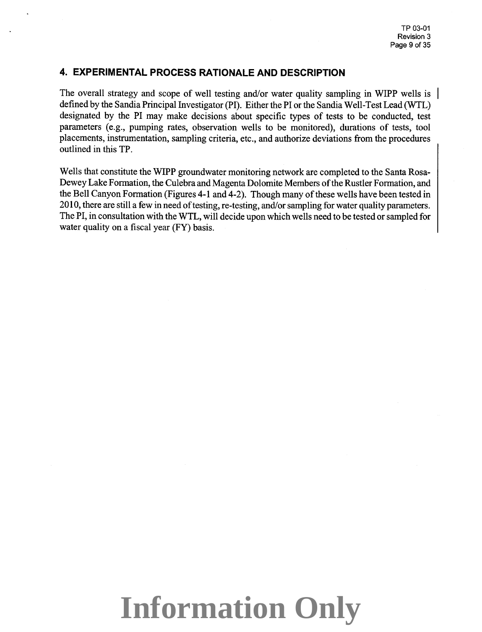### **4. EXPERIMENTAL PROCESS RATIONALE AND DESCRIPTION**

The overall strategy and scope of well testing and/or water quality sampling in WIPP wells is defined by the Sandia Principal Investigator (PI). Either the PI or the Sandia Well-Test Lead (WTL) designated by the PI may make decisions about specific types of tests to be conducted, test parameters (e.g., pumping rates, observation wells to be monitored), durations of tests, tool <sup>p</sup>lacements, instrumentation, sampling criteria, etc., and authorize deviations from the procedures outlined in this TP.

Wells that constitute the WIPP groundwater monitoring network are completed to the Santa Rosa-Dewey Lake Formation, the Culebra and Magenta Dolomite Members of the Rustler Formation, and the Bell Canyon Formation (Figures 4-1 and 4-2). Though many of these wells have been tested in 2010, there are still a few in need of testing, re-testing, and/or sampling for water quality parameters. The PI, in consultation with the WTL, will decide upon which wells need to be tested or sampled for water quality on a fiscal year (FY) basis.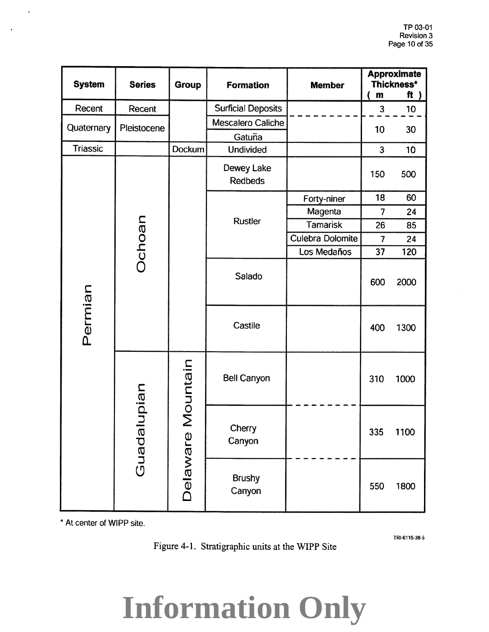| <b>System</b>   | <b>Series</b>                           | <b>Formation</b><br><b>Group</b> |                              | <b>Member</b>    | <b>Approximate</b><br>Thickness* |                 |
|-----------------|-----------------------------------------|----------------------------------|------------------------------|------------------|----------------------------------|-----------------|
|                 |                                         |                                  |                              |                  | $\mathbf m$                      | ft $)$          |
| Recent          | Recent                                  |                                  | <b>Surficial Deposits</b>    |                  | 3                                | 10 <sub>1</sub> |
| Quaternary      | Pleistocene                             |                                  | Mescalero Caliche            |                  | 10                               | 30              |
| <b>Triassic</b> |                                         | <b>Dockum</b>                    | Gatuña<br><b>Undivided</b>   |                  | $\overline{3}$                   | 10              |
|                 |                                         |                                  | Dewey Lake<br><b>Redbeds</b> |                  | 150                              | 500             |
|                 |                                         |                                  |                              | Forty-niner      | 18                               | 60              |
|                 |                                         |                                  |                              | Magenta          | $\overline{7}$                   | 24              |
|                 | Ochoan                                  |                                  | <b>Rustler</b>               | <b>Tamarisk</b>  | 26                               | 85              |
|                 |                                         |                                  |                              | Culebra Dolomite | $\overline{7}$                   | 24              |
|                 |                                         |                                  |                              | Los Medaños      | 37                               | 120             |
|                 |                                         |                                  | Salado                       |                  | 600                              | 2000            |
| Permian         |                                         |                                  | Castile                      |                  | 400                              | 1300            |
|                 | Mountain<br>upian<br>Guadal<br>Delaware |                                  | <b>Bell Canyon</b>           |                  | 310                              | 1000            |
|                 |                                         |                                  | Cherry<br>Canyon             |                  | 335                              | 1100            |
|                 |                                         |                                  | <b>Brushy</b><br>Canyon      |                  | 550                              | 1800            |

\*At center of WIPP site.

 $\ddot{\phantom{0}}$ 

Figure 4-1. Stratigraphic units at the WIPP Site

TRI-6115-38·5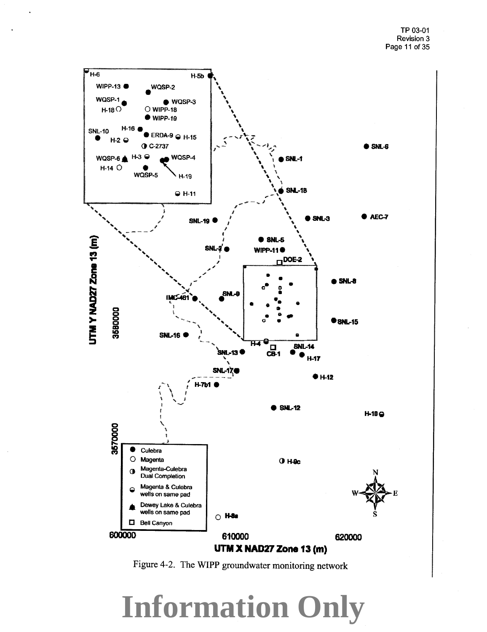

Figure 4-2. The WIPP groundwater monitoring network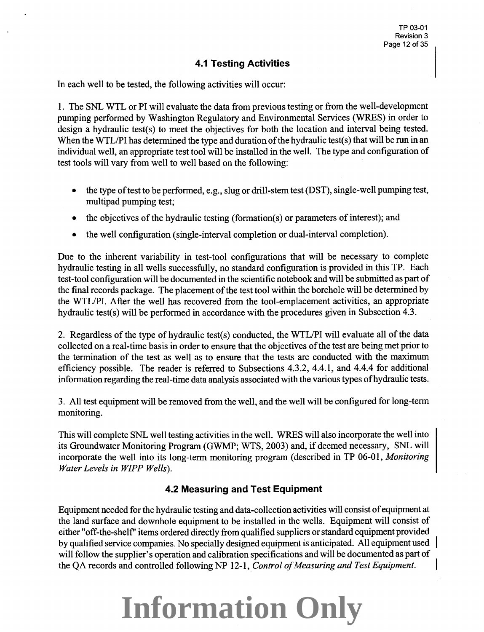### **4.1 Testing Activities**

In each well to be tested, the following activities will occur:

1. The SNL WTL or PI will evaluate the data from previous testing or from the well-development pumping performed by Washington Regulatory and Environmental Services (WRES) in order to design a hydraulic test(s) to meet the objectives for both the location and interval being tested. When the WTL/PI has determined the type and duration of the hydraulic test(s) that will be run in an individual well, an appropriate test tool will be installed in the well. The type and configuration of test tools will vary from well to well based on the following:

- the type of test to be performed, e.g., slug or drill-stem test (DST), single-well pumping test, multipad pumping test;
- the objectives of the hydraulic testing (formation(s) or parameters of interest); and
- the well configuration (single-interval completion or dual-interval completion).

Due to the inherent variability in test-tool configurations that will be necessary to complete hydraulic testing in all wells successfully, no standard configuration is provided in this TP. Each test-tool configuration will be documented in the scientific notebook and will be submitted as part of the final records package. The placement of the test tool within the borehole will be determined by the WTLIPI. After the well has recovered from the tool-emplacement activities, an appropriate hydraulic test(s) will be performed in accordance with the procedures given in Subsection 4.3.

2. Regardless of the type of hydraulic test(s) conducted, the WTL/PI will evaluate all of the data collected on a real-time basis in order to ensure that the objectives of the test are being met prior to the termination of the test as well as to ensure that the tests are conducted with the maximum efficiency possible. The reader is referred to Subsections 4.3.2, 4.4.1, and 4.4.4 for additional information regarding the real-time data analysis associated with the various types ofhydraulic tests.

3. All test equipment will be removed from the well, and the well will be configured for long-term monitoring.

This will complete SNL well testing activities in the well. WRES will also incorporate the well into its Groundwater Monitoring Program (GWMP; WTS, 2003) and, if deemed necessary, SNL will incorporate the well into its long-term monitoring program (described in TP 06-01, *Monitoring Water Levels in WIPP Wells).* 

### **4.2 Measuring and Test Equipment**

Equipment needed for the hydraulic testing and data-collection activities will consist of equipment at the land surface and downhole equipment to be installed in the wells. Equipment will consist of either "off-the-shelf'' items ordered directly from qualified suppliers or standard equipment provided by qualified service companies. No specially designed equipment is anticipated. All equipment used will follow the supplier's operation and calibration specifications and will be documented as part of the QA records and controlled following NP 12-1, *Control of Measuring and Test Equipment.*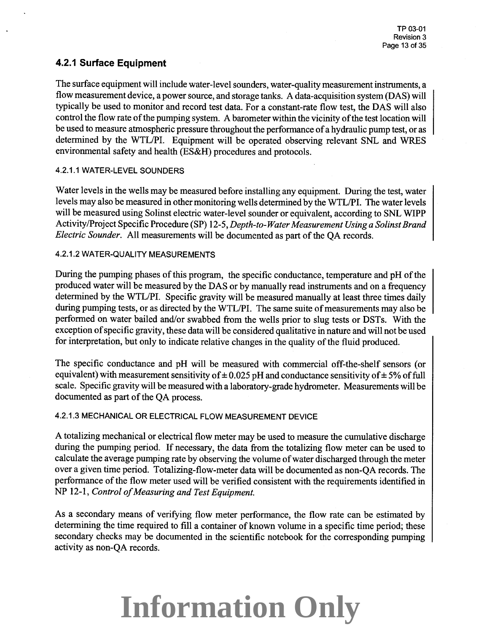### **4.2.1 Surface Equipment**

The surface equipment will include water-level sounders, water-quality measurement instruments, a flow measurement device, a power source, and storage tanks. A data-acquisition system (DAS) will typically be used to monitor and record test data. For a constant-rate flow test, the DAS will also control the flow rate of the pumping system. A barometer within the vicinity of the test location will be used to measure atmospheric pressure throughout the performance of a hydraulic pump test, or as determined by the WTL/PI. Equipment will be operated observing relevant SNL and WRES environmental safety and health (ES&H) procedures and protocols.

#### 4.2.1.1 WATER-LEVEL SOUNDERS

Water levels in the wells may be measured before installing any equipment. During the test, water levels may also be measured in other monitoring wells determined by the WTL/PI. The water levels will be measured using Solinst electric water-level sounder or equivalent, according to SNL WlPP Activity /Project Specific Procedure (SP) 12-5, *Depth-to-Water Measurement Using a Solinst Brand Electric Sounder.* All measurements will be documented as part of the QA records.

#### 4.2.1.2 WATER-QUALITY MEASUREMENTS

During the pumping phases of this program, the specific conductance, temperature and pH of the produced water will be measured by the DAS or by manually read instruments and on a frequency determined by the WTL/PI. Specific gravity will be measured manually at least three times daily during pumping tests, or as directed by the WTL/PI. The same suite of measurements may also be performed on water bailed and/or swabbed from the wells prior to slug tests or DSTs. With the exception of specific gravity, these data will be considered qualitative in nature and will not be used for interpretation, but only to indicate relative changes in the quality of the fluid produced.

The specific conductance and pH will be measured with commercial off-the-shelf sensors (or equivalent) with measurement sensitivity of  $\pm$  0.025 pH and conductance sensitivity of  $\pm$  5% of full scale. Specific gravity will be measured with a laboratory-grade hydrometer. Measurements will be documented as part of the QA process.

#### 4.2.1.3 MECHANICAL OR ELECTRICAL FLOW MEASUREMENT DEVICE

A totalizing mechanical or electrical flow meter may be used to measure the cumulative discharge during the pumping period. If necessary, the data from the totalizing flow meter can be used to calculate the average pumping rate by observing the volume of water discharged through the meter over a given time period. Totalizing-flow-meter data will be documented as non-QA records. The performance of the flow meter used will be verified consistent with the requirements identified in NP 12-1, *Control of Measuring and Test Equipment.* 

As a secondary means of verifying flow meter performance, the flow rate can be estimated by determining the time required to fill a container of known volume in a specific time period; these secondary checks may be documented in the scientific notebook for the corresponding pumping activity as non-QA records.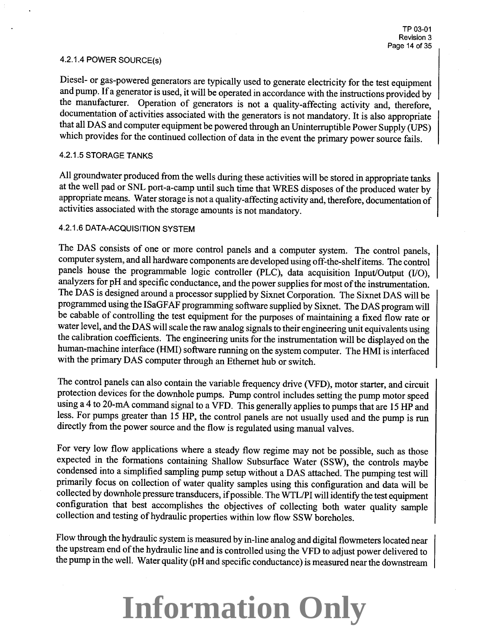#### 4.2.1.4 POWER SOURCE(s)

Diesel- or gas-powered generators are typically used to generate electricity for the test equipment and pump. If a generator is used, it will be operated in accordance with the instructions provided by the manufacturer. Operation of generators is not a quality-affecting activity and, therefore, documentation of activities associated with the generators is not mandatory. It is also appropriate that all DAS and computer equipment be powered through an Uninterruptible Power Supply (UPS) which provides for the continued collection of data in the event the primary power source fails.

#### 4.2.1.5 STORAGE TANKS

All groundwater produced from the wells during these activities will be stored in appropriate tanks at the well pad or SNL port-a-camp until such time that WRES disposes of the produced water by appropriate means. Water storage is not a quality-affecting activity and, therefore, documentation of activities associated with the storage amounts is not mandatory.

#### 4.2.1.6 DATA-ACQUISITION SYSTEM

The DAS consists of one or more control panels and a computer system. The control panels, computer system, and all hardware components are developed using off-the-shelf items. The control panels house the programmable logic controller (PLC), data acquisition Input/Output (I/O), analyzers for pH and specific conductance, and the power supplies for most of the instrumentation. The DAS is designed around a processor supplied by Sixnet Corporation. The Sixnet DAS will be programmed using the ISaGFAF programming software supplied by Sixnet. The DAS program will be cabable of controlling the test equipment for the purposes of maintaining a fixed flow rate or water level, and the DAS will scale the raw analog signals to their engineering unit equivalents using the calibration coefficients. The engineering units for the instrumentation will be displayed on the human-machine interface (HMI) software running on the system computer. The HMI is interfaced with the primary DAS computer through an Ethernet hub or switch.

The control panels can also contain the variable frequency drive (VFD), motor starter, and circuit protection devices for the downhole pumps. Pump control includes setting the pump motor speed using a 4 to 20-mA command signal to a VFD. This generally applies to pumps that are <sup>15</sup>HP and less. For pumps greater than <sup>15</sup>HP, the control panels are not usually used and the pump is run directly from the power source and the flow is regulated using manual valves.

For very low flow applications where a steady flow regime may not be possible, such as those expected in the formations containing Shallow Subsurface Water (SSW), the controls maybe condensed into a simplified sampling pump setup without a DAS attached. The pumping test will primarily focus on collection of water quality samples using this configuration and data will be collected by downhole pressure transducers, if possible. The WTL/PI will identify the test equipment configuration that best accomplishes the objectives of collecting both water quality sample collection and testing of hydraulic properties within low flow SSW boreholes.

Flow through the hydraulic system is measured by in-line analog and digital flowmeters located near the upstream end of the hydraulic line and is controlled using the VFD to adjust power delivered to the pump in the well. Water quality (pH and specific conductance) is measured near the downstream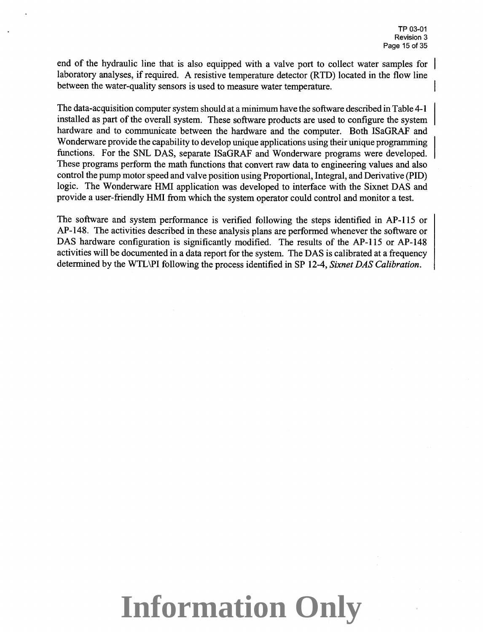end of the hydraulic line that is also equipped with a valve port to collect water samples for laboratory analyses, if required. A resistive temperature detector (RTD) located in the flow line between the water-quality sensors is used to measure water temperature.

The data-acquisition computer system should at a minimum have the software described in Table 4-1 installed as part of the overall system. These software products are used to configure the system hardware and to communicate between the hardware and the computer. Both ISaGRAF and Wonderware provide the capability to develop unique applications using their unique programming functions. For the SNL DAS, separate ISaGRAF and Wonderware programs were developed. These programs perform the math functions that convert raw data to engineering values and also control the pump motor speed and valve position using Proportional, Integral, and Derivative (PID) logic. The Wonderware HMI application was developed to interface with the Sixnet DAS and provide a user-friendly HMI from which the system operator could control and monitor a test.

The software and system performance is verified following the steps identified in AP-115 or AP-148. The activities described in these analysis plans are performed whenever the software or DAS hardware configuration is significantly modified. The results of the AP-115 or AP-148 activities will be documented in a data report for the system. The DAS is calibrated at a frequency determined by the WTL\PI following the process identified in SP 12-4, *Sixnet DAS Calibration.*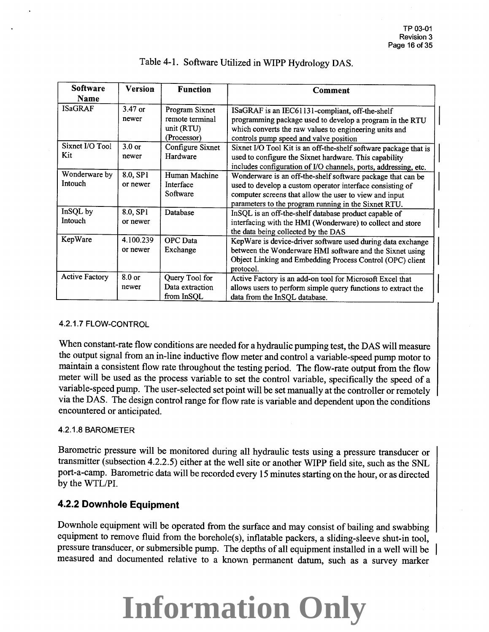| <b>Software</b><br>Name  | <b>Version</b>        | <b>Function</b>                                                | <b>Comment</b>                                                                                                                                                                                                                             |
|--------------------------|-----------------------|----------------------------------------------------------------|--------------------------------------------------------------------------------------------------------------------------------------------------------------------------------------------------------------------------------------------|
| <b>ISaGRAF</b>           | 3.47 or<br>newer      | Program Sixnet<br>remote terminal<br>unit (RTU)<br>(Processor) | ISaGRAF is an IEC61131-compliant, off-the-shelf<br>programming package used to develop a program in the RTU<br>which converts the raw values to engineering units and<br>controls pump speed and valve position                            |
| Sixnet I/O Tool<br>Kit   | $3.0$ or<br>newer     | Configure Sixnet<br>Hardware                                   | Sixnet I/O Tool Kit is an off-the-shelf software package that is<br>used to configure the Sixnet hardware. This capability<br>includes configuration of I/O channels, ports, addressing, etc.                                              |
| Wonderware by<br>Intouch | 8.0, SP1<br>or newer  | Human Machine<br>Interface<br>Software                         | Wonderware is an off-the-shelf software package that can be<br>used to develop a custom operator interface consisting of<br>computer screens that allow the user to view and input<br>parameters to the program running in the Sixnet RTU. |
| InSQL by<br>Intouch      | 8.0, SP1<br>or newer  | Database                                                       | InSQL is an off-the-shelf database product capable of<br>interfacing with the HMI (Wonderware) to collect and store<br>the data being collected by the DAS                                                                                 |
| KepWare                  | 4.100.239<br>or newer | <b>OPC</b> Data<br>Exchange                                    | KepWare is device-driver software used during data exchange<br>between the Wonderware HMI software and the Sixnet using<br>Object Linking and Embedding Process Control (OPC) client<br>protocol.                                          |
| <b>Active Factory</b>    | 8.0 or<br>newer       | Query Tool for<br>Data extraction<br>from InSQL                | Active Factory is an add-on tool for Microsoft Excel that<br>allows users to perform simple query functions to extract the<br>data from the InSQL database.                                                                                |

### Table 4-1. Software Utilized in WIPP Hydrology DAS.

#### 4.2.1.7 FLOW-CONTROL

When constant-rate flow conditions are needed for a hydraulic pumping test, the DAS will measure the output signal from an in-line inductive flow meter and control a variable-speed pump motor to maintain a consistent flow rate throughout the testing period. The flow-rate output from the flow meter will be used as the process variable to set the control variable, specifically the speed of <sup>a</sup> variable-speed pump. The user-selected set point will be set manually at the controller or remotely via the DAS. The design control range for flow rate is variable and dependent upon the conditions encountered or anticipated.

#### 4.2.1.8 BAROMETER

Barometric pressure will be monitored during all hydraulic tests using a pressure transducer or transmitter (subsection 4.2.2.5) either at the well site or another WIPP field site, such as the SNL port-a-camp. Barometric data will be recorded every <sup>15</sup>minutes starting on the hour, or as directed by the WTL/PI.

## **4.2.2 Downhole Equipment**

Downhole equipment will be operated from the surface and may consist of bailing and swabbing equipment to remove fluid from the borehole(s), inflatable packers, a sliding-sleeve shut-in tool, pressure transducer, or submersible pump. The depths of all equipment installed in a well will be measured and documented relative to a known permanent datum, such as a survey marker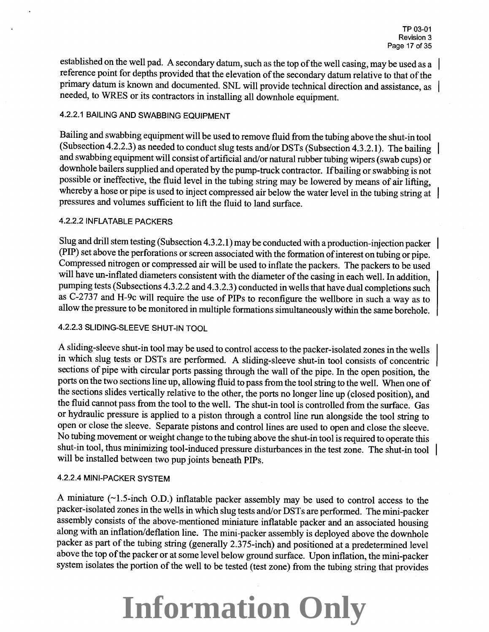established on the well pad. A secondary datum, such as the top of the well casing, may be used as a reference point for depths provided that the elevation of the secondary datum relative to that of the primary datum is known and documented. SNL will provide technical direction and assistance, as needed, to WRES or its contractors in installing all downhole equipment.

#### 4.2.2.1 BAILING AND SWABBING EQUIPMENT

Bailing and swabbing equipment will be used to remove fluid from the tubing above the shut-in tool (Subsection4.2.2.3) as needed to conduct slug tests and/or DSTs (Subsection 4.3.2.1). The bailing and swabbing equipment will consist of artificial and/or natural rubber tubing wipers (swab cups) or downhole bailers supplied and operated by the pump-truck contractor. Ifbailing or swabbing is not possible or ineffective, the fluid level in the tubing string may be lowered by means of air lifting, whereby a hose or pipe is used to inject compressed air below the water level in the tubing string at pressures and volumes sufficient to lift the fluid to land surface.

#### 4.2.2.21NFLATABLE PACKERS

Slug and drill stem testing (Subsection 4.3 .2.1) may be conducted with a production-injection packer (PIP) set above the perforations or screen associated with the formation of interest on tubing or pipe. Compressed nitrogen or compressed air will be used to inflate the packers. The packers to be used will have un-inflated diameters consistent with the diameter of the casing in each well. In addition, pumping tests (Subsections 4.3.2.2 and 4.3.2.3) conducted in wells that have dual completions such as C-2737 and H-9c will require the use of PIPs to reconfigure the wellbore in such a way as to allow the pressure to be monitored in multiple formations simultaneously within the same borehole.

#### 4.2.2.3 SLIDING-SLEEVE SHUT-IN TOOL

A sliding-sleeve shut-in tool may be used to control access to the packer-isolated zones in the wells in which slug tests or DSTs are performed. A sliding-sleeve shut-in tool consists of concentric sections of pipe with circular ports passing through the wall of the pipe. In the open position, the ports on the two sections line up, allowing fluid to pass from the tool string to the well. When one of the sections slides vertically relative to the other, the ports no longer line up (closed position), and the fluid cannot pass from the tool to the well. The shut-in tool is controlled from the surface. Gas or hydraulic pressure is applied to a piston through a control line run alongside the tool string to open or close the sleeve. Separate pistons and control lines are used to open and close the sleeve. No tubing movement or weight change to the tubing above the shut-in tool is required to operate this shut-in tool, thus minimizing tool-induced pressure disturbances in the test zone. The shut-in tool will be installed between two pup joints beneath PIPs.

#### 4.2.2.4 MINI-PACKER SYSTEM

A miniature  $(\sim1.5$ -inch O.D.) inflatable packer assembly may be used to control access to the packer-isolated zones in the wells in which slug tests and/or DSTs are performed. The mini-packer assembly consists of the above-mentioned miniature inflatable packer and an associated housing along with an inflation/deflation line. The mini-packer assembly is deployed above the downhole packer as part of the tubing string (generally 2.375-inch) and positioned at a predetermined level above the top of the packer or at some level below ground surface. Upon inflation, the mini-packer system isolates the portion of the well to be tested (test zone) from the tubing string that provides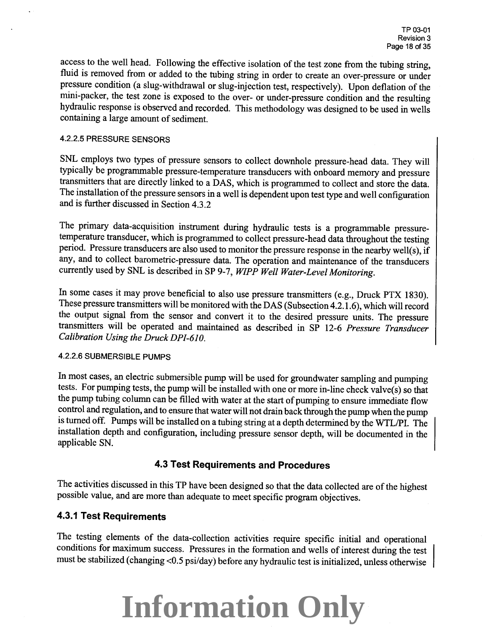access to the well head. Following the effective isolation of the test zone from the tubing string, fluid is removed from or added to the tubing string in order to create an over-pressure or under pressure condition (a slug-withdrawal or slug-injection test, respectively). Upon deflation of the mini-packer, the test zone is exposed to the over- or under-pressure condition and the resulting hydraulic response is observed and recorded. This methodology was designed to be used in wells containing a large amount of sediment.

#### 4.2.2.5 PRESSURE SENSORS

SNL employs two types of pressure sensors to collect downhole pressure-head data. They will typically be programmable pressure-temperature transducers with onboard memory and pressure transmitters that are directly linked to a DAS, which is programmed to collect and store the data. The installation of the pressure sensors in a well is dependent upon test type and well configuration and is further discussed in Section 4.3.2

The primary data-acquisition instrument during hydraulic tests is a programmable pressuretemperature transducer, which is programmed to collect pressure-head data throughout the testing period. Pressure transducers are also used to monitor the pressure response in the nearby well(s), if any, and to collect barometric-pressure data. The operation and maintenance of the transducers currently used by SNL is described in SP 9-7, *WIPP Well Water-Level Monitoring.* 

In some cases it may prove beneficial to also use pressure transmitters (e.g., Druck PTX 1830). These pressure transmitters will be monitored with the DAS (Subsection 4.2.1.6), which will record the output signal from the sensor and convert it to the desired pressure units. The pressure transmitters will be operated and maintained as described in SP 12-6 *Pressure Transducer Calibration Using the Druck DP/-610.* 

#### 4.2.2.6 SUBMERSIBLE PUMPS

In most cases, an electric submersible pump will be used for groundwater sampling and pumping tests. For pumping tests, the pump will be installed with one or more in-line check valve(s) so that the pump tubing column can be filled with water at the start of pumping to ensure immediate flow control and regulation, and to ensure that water will not drain back through the pump when the pump is turned off. Pumps will be installed on a tubing string at a depth determined by the WTL/PI. The installation depth and configuration, including pressure sensor depth, will be documented in the applicable SN.

### **4.3 Test Requirements and Procedures**

The activities discussed in this TP have been designed so that the data collected are of the highest possible value, and are more than adequate to meet specific program objectives.

### **4.3.1 Test Requirements**

The testing elements of the data-collection activities require specific initial and operational conditions for maximum success. Pressures in the formation and wells of interest during the test must be stabilized (changing <0.5 psi/day) before any hydraulic test is initialized, unless otherwise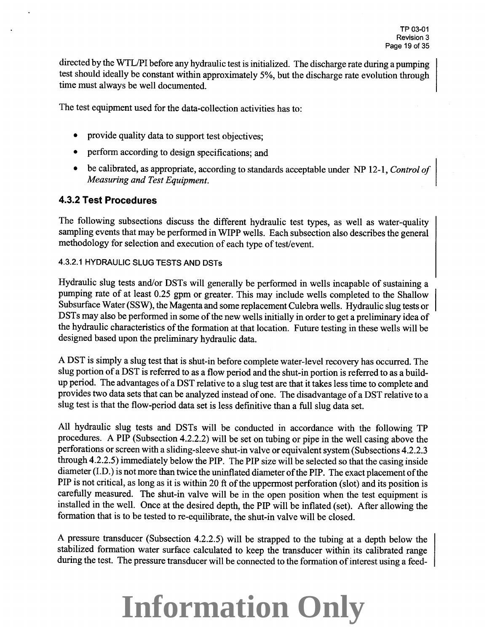directed by the WTL/PI before any hydraulic test is initialized. The discharge rate during a pumping test should ideally be constant within approximately 5%, but the discharge rate evolution through time must always be well documented.

The test equipment used for the data-collection activities has to:

- provide quality data to support test objectives;
- perform according to design specifications; and
- be calibrated, as appropriate, according to standards acceptable under NP 12-1, *Control of Measuring and Test Equipment.*

### **4.3.2 Test Procedures**

The following subsections discuss the different hydraulic test types, as well as water-quality sampling events that may be performed in WIPP wells. Each subsection also describes the general methodology for selection and execution of each type of test/event.

#### 4.3.2.1 HYDRAULIC SLUG TESTS AND DSTs

Hydraulic slug tests and/or DSTs will generally be performed in wells incapable of sustaining a pumping rate of at least 0.25 gpm or greater. This may include wells completed to the Shallow Subsurface Water (SSW), the Magenta and some replacement Culebra wells. Hydraulic slug tests or DSTs may also be performed in some of the new wells initially in order to get a preliminary idea of the hydraulic characteristics of the formation at that location. Future testing in these wells will be designed based upon the preliminary hydraulic data.

A DST is simply a slug test that is shut-in before complete water-level recovery has occurred. The slug portion of a DST is referred to as a flow period and the shut-in portion is referred to as a buildup period. The advantages of a DST relative to a slug test are that it takes less time to complete and provides two data sets that can be analyzed instead of one. The disadvantage of a DST relative to a slug test is that the flow-period data set is less definitive than a full slug data set.

All hydraulic slug tests and DSTs will be conducted in accordance with the following TP procedures. A PIP (Subsection 4.2.2.2) will be set on tubing or pipe in the well casing above the perforations or screen with a sliding-sleeve shut-in valve or equivalent system (Subsections 4.2.2.3 through 4.2.2.5) immediately below the PIP. The PIP size will be selected so that the casing inside diameter (I.D.) is not more than twice the uninflated diameter of the PIP. The exact placement of the PIP is not critical, as long as it is within 20 ft of the uppermost perforation (slot) and its position is carefully measured. The shut-in valve will be in the open position when the test equipment is installed in the well. Once at the desired depth, the PIP will be inflated (set). After allowing the formation that is to be tested to re-equilibrate, the shut-in valve will be closed.

A pressure transducer (Subsection 4.2.2.5) will be strapped to the tubing at a depth below the stabilized formation water surface calculated to keep the transducer within its calibrated range during the test. The pressure transducer will be connected to the formation of interest using a feed-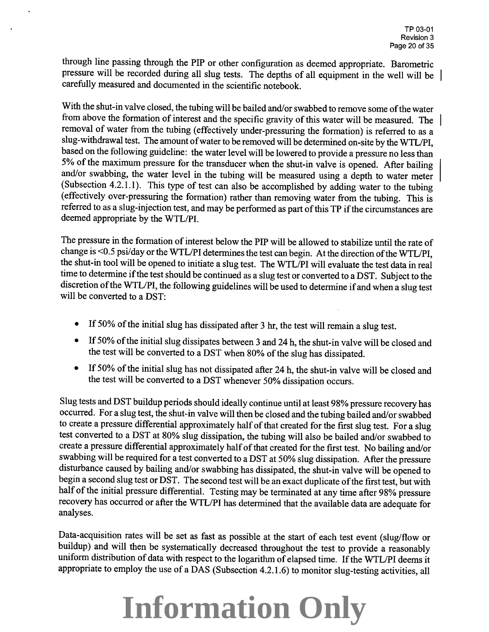through line passing through the PIP or other configuration as deemed appropriate. Barometric pressure will be recorded during all slug tests. The depths of all equipment in the well will be carefully measured and documented in the scientific notebook.

With the shut-in valve closed, the tubing will be bailed and/or swabbed to remove some of the water from above the formation of interest and the specific gravity of this water will be measured. The removal of water from the tubing (effectively under-pressuring the formation) is referred to as a slug-withdrawal test. The amount of water to be removed will be determined on-site by the WTL/PI, based on the following guideline: the water level will be lowered to provide a pressure no less than 5% of the maximum pressure for the transducer when the shut-in valve is opened. After bailing and/or swabbing, the water level in the tubing will be measured using a depth to water meter | (Subsection 4.2.1.1). This type of test can also be accomplished by adding water to the tubing (effectively over-pressuring the formation) rather than removing water from the tubing. This is referred to as a slug-injection test, and may be performed as part of this TP ifthe circumstances are deemed appropriate by the WTL/PI.

The pressure in the formation of interest below the PIP will be allowed to stabilize until the rate of change is <0.5 psi/day or the WTL/PI determines the test can begin. At the direction of the WTL/PI, the shut-in tool will be opened to initiate a slug test. The WTL/PI will evaluate the test data in real time to determine if the test should be continued as a slug test or converted to a DST. Subject to the discretion of the WTL/PI, the following guidelines will be used to determine if and when a slug test will be converted to a DST:

- If 50% of the initial slug has dissipated after 3 hr, the test will remain a slug test.
- If 50% of the initial slug dissipates between 3 and 24 h, the shut-in valve will be closed and the test will be converted to a DST when 80% of the slug has dissipated.
- If 50% of the initial slug has not dissipated after 24 h, the shut-in valve will be closed and the test will be converted to a DST whenever 50% dissipation occurs.

Slug tests and DST buildup periods should ideally continue until at least 98% pressure recovery has occurred. For a slug test, the shut-in valve will then be closed and the tubing bailed and/or swabbed to create a pressure differential approximately half of that created for the first slug test. For a slug test converted to a DST at 80% slug dissipation, the tubing will also be bailed and/or swabbed to create a pressure differential approximately half of that created for the first test. No bailing and/or swabbing will be required for a test converted to a DST at 50% slug dissipation. After the pressure disturbance caused by bailing and/or swabbing has dissipated, the shut-in valve will be opened to begin a second slug test or DST. The second test will be an exact duplicate of the first test, but with half of the initial pressure differential. Testing may be terminated at any time after 98% pressure recovery has occurred or after the WTL/PI has determined that the available data are adequate for analyses.

Data-acquisition rates will be set as fast as possible at the start of each test event (slug/flow or buildup) and will then be systematically decreased throughout the test to provide a reasonably uniform distribution of data with respect to the logarithm of elapsed time. If the WTL/PI deems it appropriate to employ the use of a DAS (Subsection 4.2.1.6) to monitor slug-testing activities, all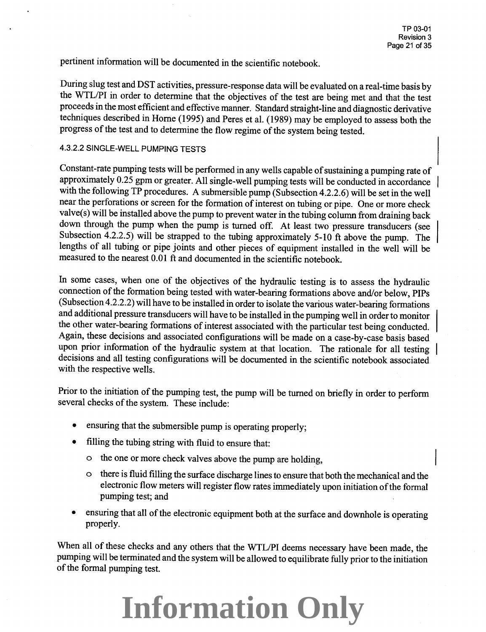pertinent information will be documented in the scientific notebook.

During slug test and DST activities, pressure-response data will be evaluated on a real-time basis by the WTL/PI in order to determine that the objectives of the test are being met and that the test proceeds in the most efficient and effective manner. Standard straight-line and diagnostic derivative techniques described in Home (1995) and Peres et al. (1989) may be employed to assess both the progress of the test and to determine the flow regime of the system being tested.

#### 4.3.2.2 SINGLE-WELL PUMPING TESTS

Constant-rate pumping tests will be performed in any wells capable of sustaining a pumping rate of approximately 0.25 gpm or greater. All single-well pumping tests will be conducted in accordance with the following TP procedures. A submersible pump (Subsection 4.2.2.6) will be set in the well near the perforations or screen for the formation of interest on tubing or pipe. One or more check valve(s) will be installed above the pump to prevent water in the tubing column from draining back down through the pump when the pump is turned off. At least two pressure transducers (see Subsection 4.2.2.5) will be strapped to the tubing approximately 5-10 ft above the pump. The lengths of all tubing or pipe joints and other pieces of equipment installed in the well will be measured to the nearest 0.01 ft and documented in the scientific notebook.

In some cases, when one of the objectives of the hydraulic testing is to assess the hydraulic connection of the formation being tested with water-bearing formations above and/or below, PIPs (Subsection 4.2.2.2) will have to be installed in order to isolate the various water-bearing formations and additional pressure transducers will have to be installed in the pumping well in order to monitor the other water-bearing formations of interest associated with the particular test being conducted. Again, these decisions and associated configurations will be made on a case-by-case basis based upon prior information of the hydraulic system at that location. The rationale for all testing decisions and all testing configurations will be documented in the scientific notebook associated with the respective wells.

Prior to the initiation of the pumping test, the pump will be turned on briefly in order to perform several checks of the system. These include:

- ensuring that the submersible pump is operating properly;
- filling the tubing string with fluid to ensure that:
	- <sup>o</sup>the one or more check valves above the pump are holding,
	- <sup>o</sup>there is fluid filling the surface discharge lines to ensure that both the mechanical and the electronic flow meters will register flow rates immediately upon initiation of the formal pumping test; and
- ensuring that all of the electronic equipment both at the surface and downhole is operating properly.

When all of these checks and any others that the WTL/PI deems necessary have been made, the pumping will be terminated and the system will be allowed to equilibrate fully prior to the initiation of the formal pumping test.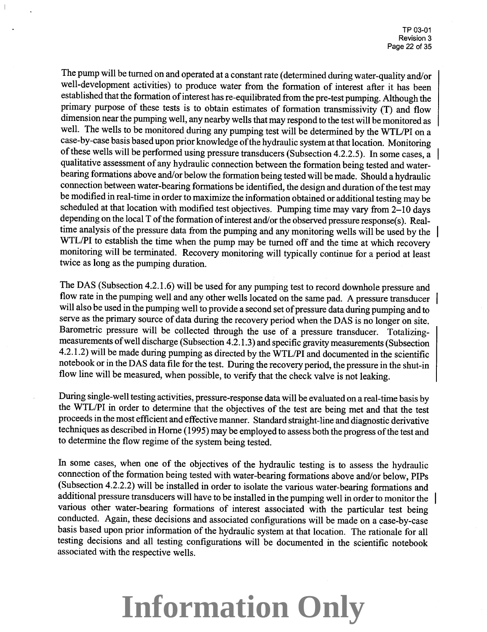The pump will be turned on and operated at a constant rate (determined during water-quality and/or well-development activities) to produce water from the formation of interest after it has been established that the formation of interest has re-equilibrated from the pre-test pumping. Although the primary purpose of these tests is to obtain estimates of formation transmissivity (T) and flow dimension near the pumping well, any nearby wells that may respond to the test will be monitored as well. The wells to be monitored during any pumping test will be determined by the WTL/PI on a case-by-case basis based upon prior knowledge of the hydraulic system at that location. Monitoring of these wells will be performed using pressure transducers (Subsection 4.2.2.5). In some cases, a qualitative assessment of any hydraulic connection between the formation being tested and waterbearing formations above and/or below the formation being tested will be made. Should a hydraulic connection between water-bearing formations be identified, the design and duration of the test may be modified in real-time in order to maximize the information obtained or additional testing may be scheduled at that location with modified test objectives. Pumping time may vary from 2-10 days depending on the local T of the formation of interest and/or the observed pressure response(s). Realtime analysis of the pressure data from the pumping and any monitoring wells will be used by the WTL/PI to establish the time when the pump may be turned off and the time at which recovery monitoring will be terminated. Recovery monitoring will typically continue for a period at least twice as long as the pumping duration.

The DAS (Subsection 4.2.1.6) will be used for any pumping test to record downhole pressure and flow rate in the pumping well and any other wells located on the same pad. A pressure transducer will also be used in the pumping well to provide a second set of pressure data during pumping and to serve as the primary source of data during the recovery period when the DAS is no longer on site. Barometric pressure will be collected through the use of a pressure transducer. Totalizingmeasurements of well discharge (Subsection 4.2.1.3) and specific gravity measurements (Subsection 4.2.1.2) will be made during pumping as directed by the WTL/PI and documented in the scientific notebook or in the DAS data file for the test. During the recovery period, the pressure in the shut-in flow line will be measured, when possible, to verify that the check valve is not leaking.

During single-well testing activities, pressure-response data will be evaluated on a real-time basis by the WTLIPI in order to determine that the objectives of the test are being met and that the test proceeds in the most efficient and effective manner. Standard straight-line and diagnostic derivative techniques as described in Horne (1995) may be employed to assess both the progress of the test and to determine the flow regime of the system being tested.

In some cases, when one of the objectives of the hydraulic testing is to assess the hydraulic connection of the formation being tested with water-bearing formations above and/or below, PIPs (Subsection 4.2.2.2) will be installed in order to isolate the various water-bearing formations and additional pressure transducers will have to be installed in the pumping well in order to monitor the various other water-bearing formations of interest associated with the particular test being conducted. Again, these decisions and associated configurations will be made on a case-by-case basis based upon prior information of the hydraulic system at that location. The rationale for all testing decisions and all testing configurations will be documented in the scientific notebook associated with the respective wells.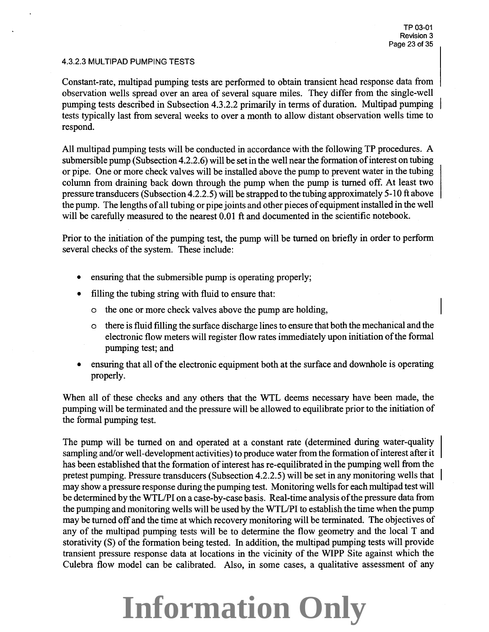#### 4.3.2.3 MULTIPAD PUMPING TESTS

Constant-rate, multipad pumping tests are performed to obtain transient head response data from observation wells spread over an area of several square miles. They differ from the single-well pumping tests described in Subsection 4.3.2.2 primarily in terms of duration. Multipad pumping tests typically last from several weeks to over a month to allow distant observation wells time to respond.

All multipad pumping tests will be conducted in accordance with the following TP procedures. A submersible pump (Subsection 4.2.2.6) will be set in the well near the formation of interest on tubing or pipe. One or more check valves will be installed above the pump to prevent water in the tubing column from draining back down through the pump when the pump is turned off. At least two pressure transducers (Subsection 4.2.2.5) will be strapped to the tubing approximately 5-l 0 ft above the pump. The lengths of all tubing or pipe joints and other pieces of equipment installed in the well will be carefully measured to the nearest 0.01 ft and documented in the scientific notebook.

Prior to the initiation of the pumping test, the pump will be turned on briefly in order to perform several checks of the system. These include:

- ensuring that the submersible pump is operating properly;
- filling the tubing string with fluid to ensure that:
	- o the one or more check valves above the pump are holding,
	- o there is fluid filling the surface discharge lines to ensure that both the mechanical and the electronic flow meters will register flow rates immediately upon initiation of the formal pumping test; and
- ensuring that all of the electronic equipment both at the surface and downhole is operating properly.

When all of these checks and any others that the WTL deems necessary have been made, the pumping will be terminated and the pressure will be allowed to equilibrate prior to the initiation of the formal pumping test.

The pump will be turned on and operated at a constant rate (determined during water-quality sampling and/or well-development activities) to produce water from the formation of interest after it has been established that the formation of interest has re-equilibrated in the pumping well from the pretest pumping. Pressure transducers (Subsection 4.2.2.5) will be set in any monitoring wells that may show a pressure response during the pumping test. Monitoring wells for each multipad test will be determined by the WTLIPI on a case-by-case basis. Real-time analysis of the pressure data from the pumping and monitoring wells will be used by the WTL/PI to establish the time when the pump may be turned off and the time at which recovery monitoring will be terminated. The objectives of any of the multipad pumping tests will be to determine the flow geometry and the local T and storativity (S) of the formation being tested. In addition, the multipad pumping tests will provide transient pressure response data at locations in the vicinity of the WIPP Site against which the Culebra flow model can be calibrated. Also, in some cases, a qualitative assessment of any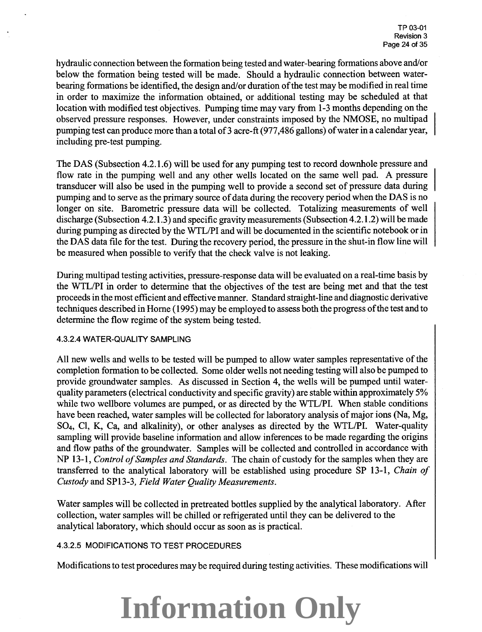hydraulic connection between the formation being tested and water-bearing formations above and/or below the formation being tested will be made. Should a hydraulic connection between waterbearing formations be identified, the design and/ or duration of the test may be modified in real time in order to maximize the information obtained, or additional testing may be scheduled at that location with modified test objectives. Pumping time may vary from 1-3 months depending on the observed pressure responses. However, under constraints imposed by the NMOSE, no multipad pumping test can produce more than a total of 3 acre-ft (977,486 gallons) of water in a calendar year, including pre-test pumping.

The DAS (Subsection 4.2.1.6) will be used for any pumping test to record downhole pressure and flow rate in the pumping well and any other wells located on the same well pad. A pressure transducer will also be used in the pumping well to provide a second set of pressure data during pumping and to serve as the primary source of data during the recovery period when the DAS is no longer on site. Barometric pressure data will be collected. Totalizing measurements of well discharge (Subsection 4.2.1.3) and specific gravity measurements (Subsection 4.2.1.2) will be made during pumping as directed by the WTL/PI and will be documented in the scientific notebook or in the DAS data file for the test. During the recovery period, the pressure in the shut-in flow line will be measured when possible to verify that the check valve is not leaking.

During multipad testing activities, pressure-response data will be evaluated on a real-time basis by the WTL/PI in order to determine that the objectives of the test are being met and that the test proceeds in the most efficient and effective manner. Standard straight-line and diagnostic derivative techniques described in Home ( 1995) may be employed to assess both the progress of the test and to determine the flow regime of the system being tested.

#### 4.3.2.4 WATER-QUALITY SAMPLING

All new wells and wells to be tested will be pumped to allow water samples representative of the completion formation to be collected. Some older wells not needing testing will also be pumped to provide groundwater samples. As discussed in Section 4, the wells will be pumped until waterquality parameters (electrical conductivity and specific gravity) are stable within approximately 5% while two wellbore volumes are pumped, or as directed by the WTL/PI. When stable conditions have been reached, water samples will be collected for laboratory analysis of major ions (Na, Mg, SO<sub>4</sub>, Cl, K, Ca, and alkalinity), or other analyses as directed by the WTL/PI. Water-quality sampling will provide baseline information and allow inferences to be made regarding the origins and flow paths of the groundwater. Samples will be collected and controlled in accordance with NP 13-1, *Control of Samples and Standards.* The chain of custody for the samples when they are transferred to the analytical laboratory will be established using procedure SP 13-1, *Chain of Custody* and SP13-3, *Field Water Quality Measurements.* 

Water samples will be collected in pretreated bottles supplied by the analytical laboratory. After collection, water samples will be chilled or refrigerated until they can be delivered to the analytical laboratory, which should occur as soon as is practical.

#### 4.3.2.5 MODIFICATIONS TO TEST PROCEDURES

Modifications to test procedures may be required during testing activities. These modifications will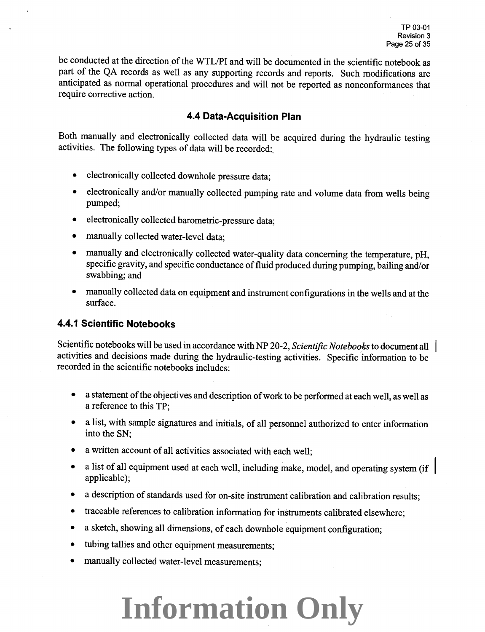be conducted at the direction of the WTL/PI and will be documented in the scientific notebook as part of the QA records as well as any supporting records and reports. Such modifications are anticipated as normal operational procedures and will not be reported as nonconformances that require corrective action.

### **4.4 Data-Acquisition Plan**

Both manually and electronically collected data will be acquired during the hydraulic testing activities. The following types of data will be recorded:

- electronically collected downhole pressure data:
- electronically and/or manually collected pumping rate and volume data from wells being pumped;
- electronically collected barometric-pressure data;
- manually collected water-level data;
- manually and electronically collected water-quality data concerning the temperature, pH, specific gravity, and specific conductance of fluid produced during pumping, bailing and/or swabbing; and
- manually collected data on equipment and instrument configurations in the wells and at the surface.

## **4.4.1 Scientific Notebooks**

Scientific notebooks will be used in accordance with NP 20-2, *Scientific Notebooks* to document all activities and decisions made during the hydraulic-testing activities. Specific information to be recorded in the scientific notebooks includes:

- a statement of the objectives and description of work to be performed at each well, as well as a reference to this TP;
- a list, with sample signatures and initials, of all personnel authorized to enter information into the SN;
- a written account of all activities associated with each well;
- a list of all equipment used at each well, including make, model, and operating system (if applicable);
- a description of standards used for on-site instrument calibration and calibration results;
- traceable references to calibration information for instruments calibrated elsewhere;
- a sketch, showing all dimensions, of each downhole equipment configuration;
- tubing tallies and other equipment measurements;
- manually collected water-level measurements;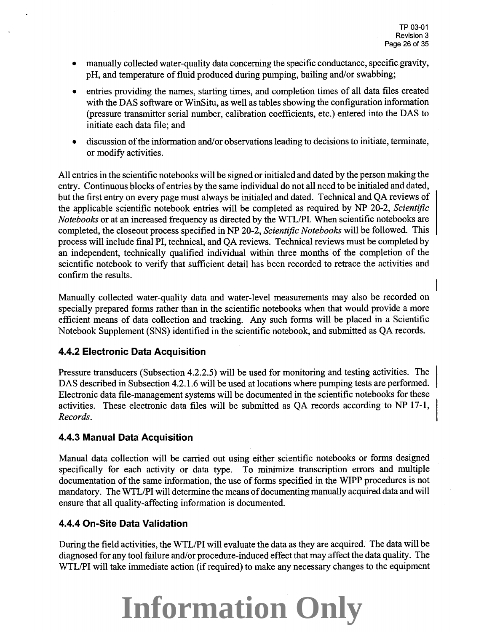- manually collected water-quality data concerning the specific conductance, specific.gravity, pH, and temperature of fluid produced during pumping, bailing and/or swabbing;
- entries providing the names, starting times, and completion times of all data files created with the DAS software or WinSitu, as well as tables showing the configuration information (pressure transmitter serial number, calibration coefficients, etc.) entered into the DAS to initiate each data file; and
- discussion of the information and/or observations leading to decisions to initiate, terminate, or modify activities.

All entries in the scientific notebooks will be signed or initialed and dated by the person making the entry. Continuous blocks of entries by the same individual do not all need to be initialed and dated, but the first entry on every page must always be initialed and dated. Technical and QA reviews of the applicable scientific notebook entries will be completed as required by NP 20-2, *Scientific Notebooks* or at an increased frequency as directed by the WTL/PI. When scientific notebooks are completed, the closeout process specified in NP 20-2, *Scientific Notebooks* will be followed. This process will include final PI, technical, and QA reviews. Technical reviews must be completed by an independent, technically qualified individual within three months of the completion of the scientific notebook to verify that sufficient detail has been recorded to retrace the activities and confirm the results.

Manually collected water-quality data and water-level measurements may also be recorded on specially prepared forms rather than in the scientific notebooks when that would provide a more efficient means of data collection and tracking. Any such forms will be placed in a Scientific Notebook Supplement (SNS) identified in the scientific notebook, and submitted as QA records.

## **4.4.2 Electronic Data Acquisition**

Pressure transducers (Subsection 4.2.2.5) will be used for monitoring and testing activities. The DAS described in Subsection 4.2.1.6 will be used at locations where pumping tests are performed. Electronic data file-management systems will be documented in the scientific notebooks for these activities. These electronic data files will be submitted as QA records according to NP 17-1, *Records.* 

## **4.4.3 Manual Data Acquisition**

Manual data collection will be carried out using either scientific notebooks or forms designed specifically for each activity or data type. To minimize transcription errors and multiple documentation of the same information, the use of forms specified in the WIPP procedures is not mandatory. The WTL/PI will determine the means of documenting manually acquired data and will ensure that all quality-affecting information is documented.

### **4.4.4 On-Site Data Validation**

During the field activities, the WTL/PI will evaluate the data as they are acquired. The data will be diagnosed for any tool failure and/or procedure-induced effect that may affect the data quality. The WTL/PI will take immediate action (if required) to make any necessary changes to the equipment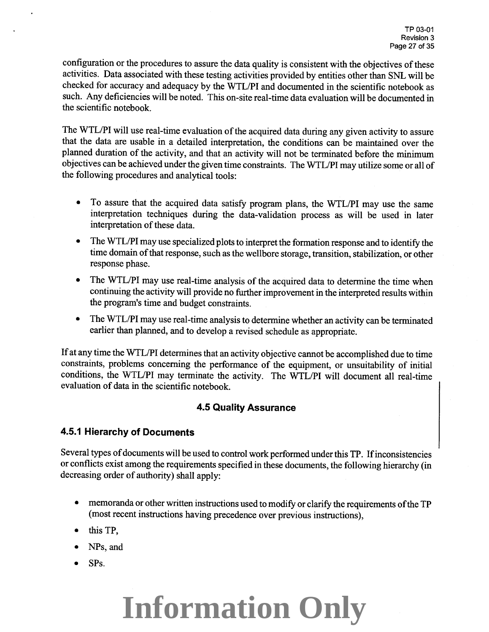configuration or the procedures to assure the data quality is consistent with the objectives of these activities. Data associated with these testing activities provided by entities other than SNL will be checked for accuracy and adequacy by the WTLIPI and documented in the scientific notebook as such. Any deficiencies will be noted. This on-site real-time data evaluation will be documented in the scientific notebook.

The WTL/PI will use real-time evaluation of the acquired data during any given activity to assure that the data are usable in a detailed interpretation, the conditions can be maintained over the <sup>p</sup>lanned duration of the activity, and that an activity will not be terminated before the minimum objectives can be achieved under the given time constraints. The WTL/PI may utilize some or all of the following procedures and analytical tools:

- To assure that the acquired data satisfy program plans, the WTL/PI may use the same interpretation techniques during the data-validation process as will be used in later interpretation of these data.
- The WTL/PI may use specialized plots to interpret the formation response and to identify the time domain of that response, such as the wellbore storage, transition, stabilization, or other response phase.
- The WTL/PI may use real-time analysis of the acquired data to determine the time when continuing the activity will provide no further improvement in the interpreted results within the program's time and budget constraints.
- The WTL/PI may use real-time analysis to determine whether an activity can be terminated earlier than planned, and to develop a revised schedule as appropriate.

If at any time the WTL/PI determines that an activity objective cannot be accomplished due to time constraints, problems concerning the performance of the equipment, or unsuitability of initial conditions, the WTL/PI may terminate the activity. The WTL/PI will document all real-time evaluation of data in the scientific notebook.

## **4.5 Quality Assurance**

## **4.5.1 Hierarchy of Documents**

Several types of documents will be used to control work performed under this TP. If inconsistencies or conflicts exist among the requirements specified in these documents, the following hierarchy (in decreasing order of authority) shall apply:

- memoranda or other written instructions used to modify or clarify the requirements of the TP (most recent instructions having precedence over previous instructions),
- this TP,
- NPs, and
- SPs.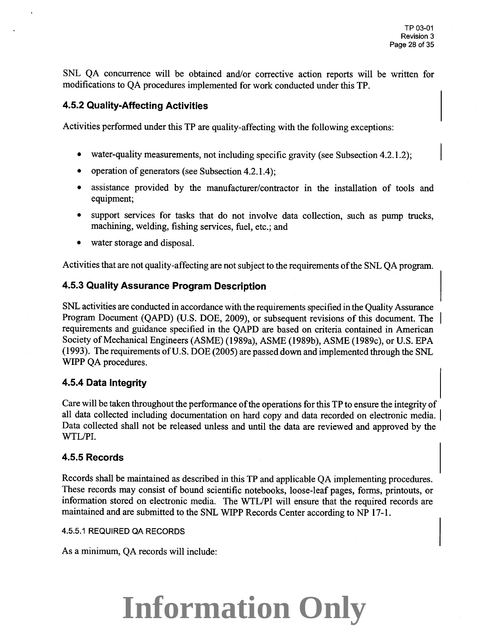SNL QA concurrence will be obtained and/or corrective action reports will be written for modifications to QA procedures implemented for work conducted under this TP.

### **4.5.2 Quality-Affecting Activities**

Activities performed under this TP are quality-affecting with the following exceptions:

- water-quality measurements, not including specific gravity (see Subsection 4.2.1.2);
- operation of generators (see Subsection 4.2.1.4);
- assistance provided by the manufacturer/contractor in the installation of tools and equipment;
- support services for tasks that do not involve data collection, such as pump trucks, machining, welding, fishing services, fuel, etc.; and
- water storage and disposal.

Activities that are not quality-affecting are not subject to the requirements of the SNL QA program.

### **4.5.3 Quality Assurance Program Description**

SNL activities are conducted in accordance with the requirements specified in the Quality Assurance Program Document (QAPD) (U.S. DOE, 2009), or subsequent revisions of this document. The requirements and guidance specified in the QAPD are based on criteria contained in American Society of Mechanical Engineers (ASME) (1989a), ASME (1989b), ASME (1989c), or U.S. EPA (1993). The requirements ofU.S. DOE (2005) are passed down and implemented through the SNL WIPP QA procedures.

### **4.5.4 Data Integrity**

Care will be taken throughout the performance of the operations for this TP to ensure the integrity of all data collected including documentation on hard copy and data recorded on electronic media. | Data collected shall not be released unless and until the data are reviewed and approved by the WTL/PI.

### **4.5.5 Records**

Records shall be maintained as described in this TP and applicable QA implementing procedures. These records may consist of bound scientific notebooks, loose-leaf pages, forms, printouts, or information stored on electronic media. The WTLIPI will ensure that the required records are maintained and are submitted to the SNL WIPP Records Center according to NP 17-1.

#### 4.5.5.1 REQUIRED QA RECORDS

As a minimum, QA records will include: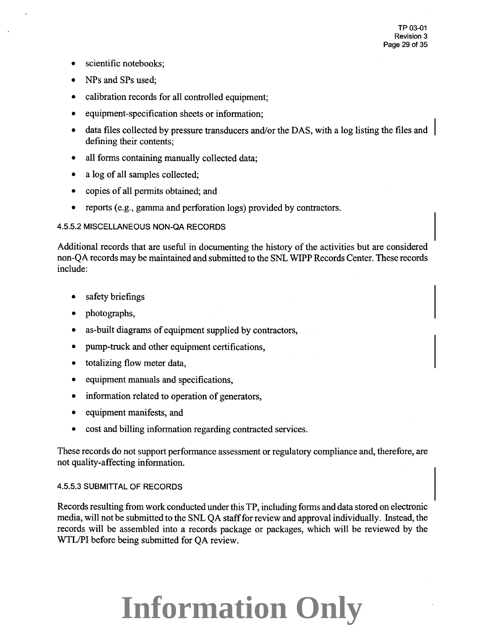- scientific notebooks;
- NPs and SPs used;
- calibration records for all controlled equipment;
- equipment-specification sheets or information;
- data files collected by pressure transducers and/or the DAS, with a log listing the files and defining their contents;
- all forms containing manually collected data;
- a log of all samples collected;
- copies of all permits obtained; and
- reports (e.g., gamma and perforation logs) provided by contractors.

#### 4.5.5.2 MISCELLANEOUS NON-QA RECORDS

Additional records that are useful in documenting the history of the activities but are considered non-QA records may be maintained and submitted to the SNL WIPP Records Center. These records include:

- safety briefings
- photographs,
- as-built diagrams of equipment supplied by contractors,
- pump-truck and other equipment certifications,
- totalizing flow meter data,
- equipment manuals and specifications,
- information related to operation of generators,
- equipment manifests, and
- cost and billing information regarding contracted services.

These records do not support performance assessment or regulatory compliance and, therefore, are not quality-affecting information.

#### 4.5.5.3 SUBMITTAL OF RECORDS

Records resulting from work conducted under this TP, including forms and data stored on electronic media, will not be submitted to the SNL QA staff for review and approval individually. Instead, the records will be assembled into a records package or packages, which will be reviewed by the WTL/PI before being submitted for QA review.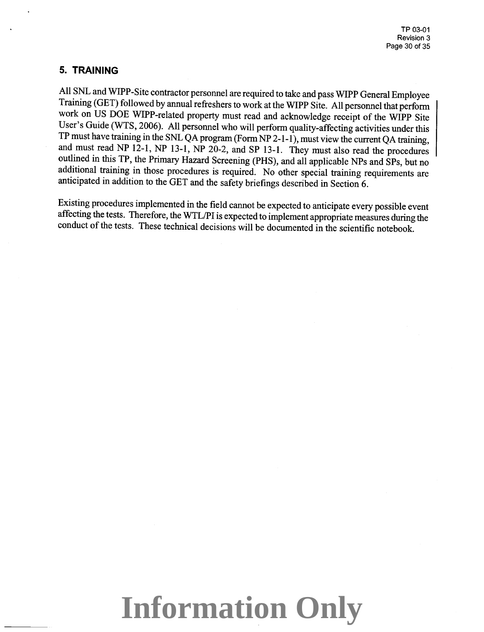### **5. TRAINING**

All SNL and WIPP-Site contractor personnel are required to take and pass WIPP General Employee Training (GET) followed by annual refreshers to work at the WIPP Site. All personnel that perform work on US DOE WIPP-related property must read and acknowledge receipt of the WIPP Site User's Guide (WTS, 2006). All personnel who will perform quality-affecting activities under this TP must have training in the SNL QA program (Form NP 2-1-1 ), must view the current QA training, and must read NP 12-1, NP 13-1, NP 20-2, and SP 13-1. They must also read the procedures outlined in this TP, the Primary Hazard Screening (PHS), and all applicable NPs and SPs, but no additional training in those procedures is required. No other special training requirements are anticipated in addition to the GET and the safety briefings described in Section 6.

Existing procedures implemented in the field cannot be expected to anticipate every possible event affecting the tests. Therefore, the WTL/PI is expected to implement appropriate measures during the conduct of the tests. These technical decisions will be documented in the scientific notebook.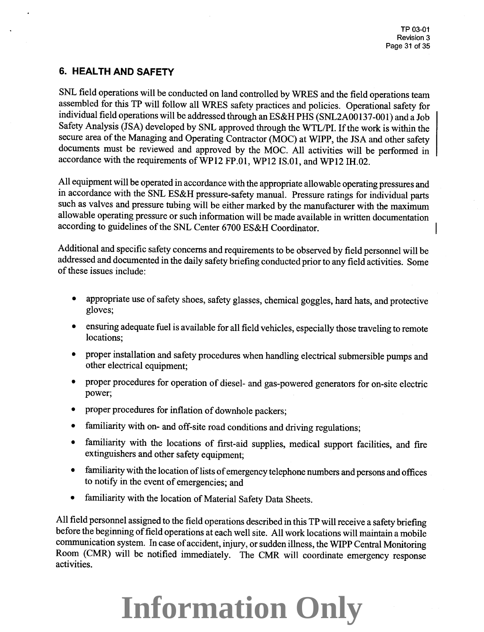## **6. HEALTH AND SAFETY**

SNL field operations will be conducted on land controlled by WRES and the field operations team assembled for this TP will follow all WRES safety practices and policies. Operational safety for individual field operations will be addressed through an ES&H PHS (SNL2A00137-001) and a Job Safety Analysis (JSA) developed by SNL approved through the WTL/PI. If the work is within the secure area of the Managing and Operating Contractor (MOC) at WIPP, the JSA and other safety documents must be reviewed and approved by the MOC. All activities will be performed in accordance with the requirements ofWP12 FP.Ol, WP12 IS.Ol, and WP12 IH.02.

All equipment will be operated in accordance with the appropriate allowable operating pressures and in accordance with the SNL ES&H pressure-safety manual. Pressure ratings for individual parts such as valves and pressure tubing will be either marked by the manufacturer with the maximum allowable operating pressure or such information will be made available in written documentation according to guidelines of the SNL Center 6700 ES&H Coordinator.

Additional and specific safety concerns and requirements to be observed by field personnel will be addressed and documented in the daily safety briefing conducted prior to any field activities. Some of these issues include:

- appropriate use of safety shoes, safety glasses, chemical goggles, hard hats, and protective gloves;
- ensuring adequate fuel is available for all field vehicles, especially those traveling to remote locations;
- proper installation and safety procedures when handling electrical submersible pumps and other electrical equipment;
- proper procedures for operation of diesel- and gas-powered generators for on-site electric power;
- proper procedures for inflation of downhole packers;
- familiarity with on- and off-site road conditions and driving regulations;
- familiarity with the locations of first-aid supplies, medical support facilities, and fire extinguishers and other safety equipment;
- familiarity with the location of lists of emergency telephone numbers and persons and offices to notify in the event of emergencies; and
- familiarity with the location of Material Safety Data Sheets.

All field personnel assigned to the field operations described in this TP will receive a safety briefing before the beginning of field operations at each well site. All work locations will maintain a mobile communication system. In case of accident, injury, or sudden illness, the WIPP Central Monitoring Room (CMR) will be notified immediately. The CMR will coordinate emergency response activities.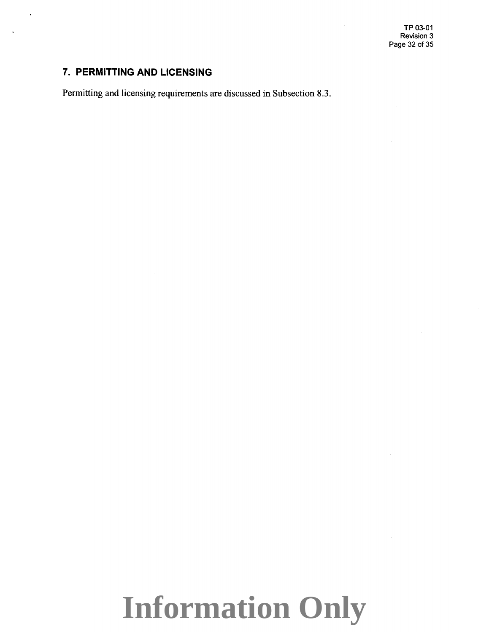TP 03-01 Revision 3 Page 32 of 35

# **7. PERMITTING AND LICENSING**

Permitting and licensing requirements are discussed in Subsection 8.3.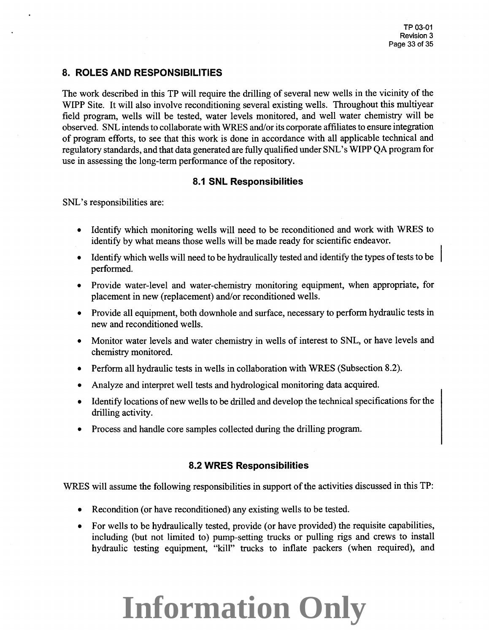### **8. ROLES AND RESPONSIBILITIES**

The work described in this TP will require the drilling of several new wells in the vicinity of the WIPP Site. It will also involve reconditioning several existing wells. Throughout this multiyear field program, wells will be tested, water levels monitored, and well water chemistry will be observed. SNL intends to collaborate with WRES and/or its corporate affiliates to ensure integration of program efforts, to see that this work is done in accordance with all applicable technical and regulatory standards, and that data generated are fully qualified under SNL's WIPP QA program for use in assessing the long-term performance of the repository.

### **8.1 SNL Responsibilities**

SNL's responsibilities are:

- Identify which monitoring wells will need to be reconditioned and work with WRES to identify by what means those wells will be made ready for scientific endeavor.
- Identify which wells will need to be hydraulically tested and identify the types of tests to be performed.
- Provide water-level and water-chemistry monitoring equipment, when appropriate, for placement in new (replacement) and/or reconditioned wells.
- Provide all equipment, both downhole and surface, necessary to perform hydraulic tests in new and reconditioned wells.
- Monitor water levels and water chemistry in wells of interest to SNL, or have levels and chemistry monitored.
- Perform all hydraulic tests in wells in collaboration with WRES (Subsection 8.2).
- Analyze and interpret well tests and hydrological monitoring data acquired.
- Identify locations of new wells to be drilled and develop the technical specifications for the drilling activity.
- Process and handle core samples collected during the drilling program.

### **8.2 WRES Responsibilities**

WRES will assume the following responsibilities in support of the activities discussed in this TP:

- Recondition (or have reconditioned) any existing wells to be tested.
- For wells to be hydraulically tested, provide (or have provided) the requisite capabilities, including (but not limited to) pump-setting trucks or pulling rigs and crews to install hydraulic testing equipment, "kill" trucks to inflate packers (when required), and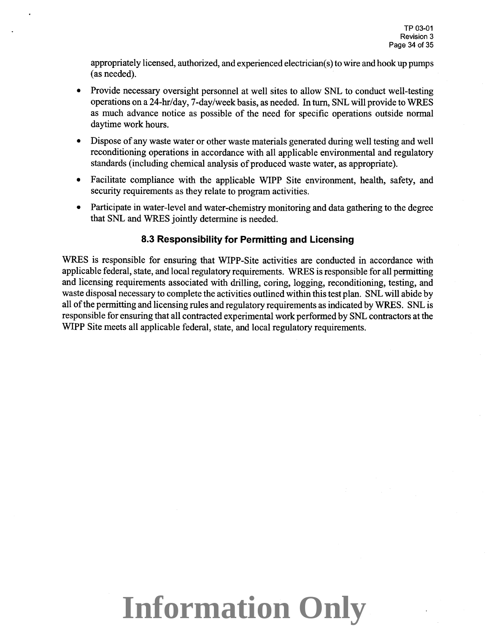appropriately licensed, authorized, and experienced electrician( s) to wire and hook up pumps (as needed).

- Provide necessary oversight personnel at well sites to allow SNL to conduct well-testing operations on a 24-hr/day, 7-day/week basis, as needed. In turn, SNL will provide to WRES as much advance notice as possible of the need for specific operations outside normal daytime work hours.
- Dispose of any waste water or other waste materials generated during well testing and well reconditioning operations in accordance with all applicable environmental and regulatory standards (including chemical analysis of produced waste water, as appropriate).
- Facilitate compliance with the applicable WIPP Site environment, health, safety, and security requirements as they relate to program activities.
- Participate in water-level and water-chemistry monitoring and data gathering to the degree that SNL and WRES jointly determine is needed.

# 8.3 **Responsibility for Permitting and Licensing**

WRES is responsible for ensuring that WIPP-Site activities are conducted in accordance with applicable federal, state, and local regulatory requirements. WRES is responsible for all permitting and licensing requirements associated with drilling, coring, logging, reconditioning, testing, and waste disposal necessary to complete the activities outlined within this test plan. SNL will abide by all of the permitting and licensing rules and regulatory requirements as indicated by WRES. SNL is responsible for ensuring that all contracted experimental work performed by SNL contractors at the WIPP Site meets all applicable federal, state, and local regulatory requirements.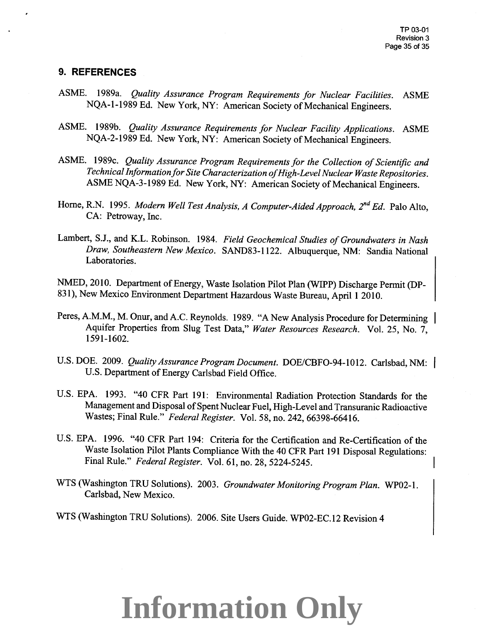### **9. REFERENCES**

- ASME. 1989a. *Quality Assurance Program Requirements for Nuclear Facilities.* ASME NQA-1-1989 Ed. New York, NY: American Society of Mechanical Engineers.
- ASME. 1989b. *Quality Assurance Requirements for Nuclear Facility Applications.* ASME NQA-2-1989 Ed. New York, NY: American Society of Mechanical Engineers.
- ASME. 1989c. *Quality Assurance Program Requirements for the Collection of Scientific and Technical Information for Site Characterization of High-Level Nuclear Waste Repositories.*  ASME NQA-3-1989 Ed. New York, NY: American Society of Mechanical Engineers.
- Home, R.N. 1995. *Modern Well Test Analysis, A Computer-Aided Approach, 2nd Ed.* Palo Alto, CA: Petroway, Inc.
- Lambert, S.J., and K.L. Robinson. 1984. *Field Geochemical Studies of Groundwaters in Nash Draw, Southeastern New Mexico.* SAND83-1122. Albuquerque, NM: Sandia National Laboratories.

NMED, 2010. Department of Energy, Waste Isolation Pilot Plan (WIPP) Discharge Permit (DP-831), New Mexico Environment Department Hazardous Waste Bureau, April 1 2010.

- Peres, A.M.M., M. Onur, and A.C. Reynolds. 1989. "A New Analysis Procedure for Determining Aquifer Properties from Slug Test Data," *Water Resources Research.* Vol. 25, No. 7, 1591-1602.
- U.S. DOE. 2009. *Quality Assurance Program Document.* DOE/CBF0-94-1012. Carlsbad, NM: U.S. Department of Energy Carlsbad Field Office.
- U.S. EPA. 1993. "40 CFR Part 191: Environmental Radiation Protection Standards for the Management and Disposal of Spent Nuclear Fuel, High-Level and Transuranic Radioactive Wastes; Final Rule." *Federal Register.* Vol. 58, no. 242, 66398-66416.
- U.S. EPA. 1996. "40 CFR Part 194: Criteria for the Certification and Re-Certification of the Waste Isolation Pilot Plants Compliance With the 40 CFR Part 191 Disposal Regulations: Final Rule." *Federal Register.* Vol. 61, no. 28, 5224-5245.
- WTS (Washington TRU Solutions). 2003. *Groundwater Monitoring Program Plan.* WP02-l. Carlsbad, New Mexico.
- WTS (Washington TRU Solutions). 2006. Site Users Guide. WP02-EC.l2 Revision 4